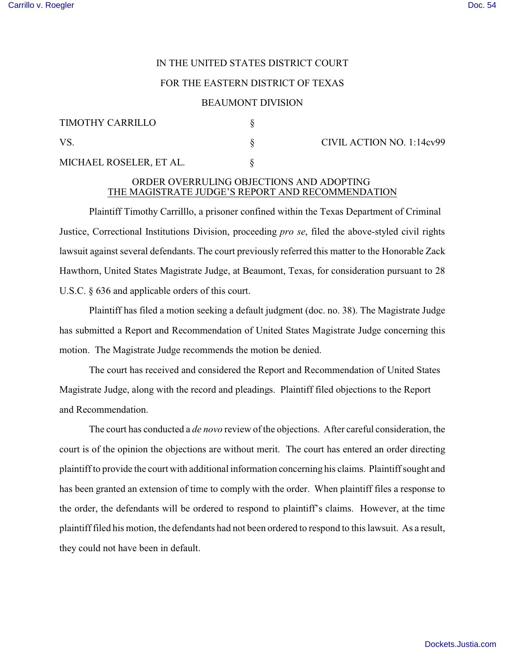## IN THE UNITED STATES DISTRICT COURT

# FOR THE EASTERN DISTRICT OF TEXAS

#### BEAUMONT DIVISION

| <b>TIMOTHY CARRILLO</b> |  |
|-------------------------|--|
| VS.                     |  |
| MICHAEL ROSELER, ET AL. |  |

S CIVIL ACTION NO. 1:14cv99

### ORDER OVERRULING OBJECTIONS AND ADOPTING THE MAGISTRATE JUDGE'S REPORT AND RECOMMENDATION

Plaintiff Timothy Carrilllo, a prisoner confined within the Texas Department of Criminal Justice, Correctional Institutions Division, proceeding *pro se*, filed the above-styled civil rights lawsuit against several defendants. The court previously referred this matter to the Honorable Zack Hawthorn, United States Magistrate Judge, at Beaumont, Texas, for consideration pursuant to 28 U.S.C. § 636 and applicable orders of this court.

Plaintiff has filed a motion seeking a default judgment (doc. no. 38). The Magistrate Judge has submitted a Report and Recommendation of United States Magistrate Judge concerning this motion. The Magistrate Judge recommends the motion be denied.

The court has received and considered the Report and Recommendation of United States Magistrate Judge, along with the record and pleadings. Plaintiff filed objections to the Report and Recommendation.

The court has conducted a *de novo* review of the objections. After careful consideration, the court is of the opinion the objections are without merit. The court has entered an order directing plaintiff to provide the court with additional information concerning his claims. Plaintiff sought and has been granted an extension of time to comply with the order. When plaintiff files a response to the order, the defendants will be ordered to respond to plaintiff's claims. However, at the time plaintiff filed his motion, the defendants had not been ordered to respond to this lawsuit. As a result, they could not have been in default.